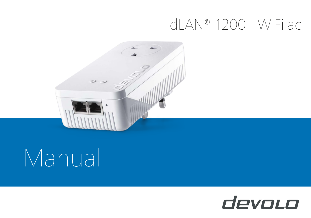# dLAN® 1200+ WiFi ac



# Manual

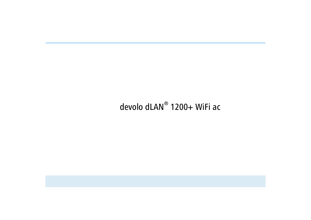# devolo dLAN® 1200+ WiFi ac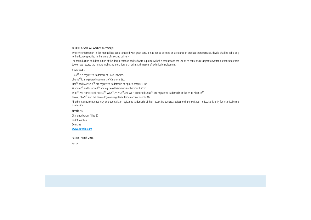### © 2018 devolo AG Aachen (Germany)

While the information in this manual has been compiled with great care, it may not be deemed an assurance of product characteristics. devolo shall be liable only to the degree specified in the terms of sale and delivery.

The reproduction and distribution of the documentation and software supplied with this product and the use of its contents is subject to written authorization from devolo. We reserve the right to make any alterations that arise as the result of technical development.

### **Trademarks**

Linux® is a registered trademark of Linus Torvalds.

Ubuntu®is a registered trademark of Canonical Ltd.

Mac<sup>®</sup> and Mac OS X<sup>®</sup> are registered trademarks of Apple Computer, Inc.

Windows<sup>®</sup> and Microsoft<sup>®</sup> are registered trademarks of Microsoft, Corp.

Wi-Fi®, Wi-Fi Protected Access™, WPA<sup>TM</sup>, WPA2<sup>TM</sup> and Wi-Fi Protected Setup™ are registered trademarks of the Wi-Fi Alliance®.

devolo, dLAN® and the devolo logo are registered trademarks of devolo AG.

All other names mentioned may be trademarks or registered trademarks of their respective owners. Subject to change without notice. No liability for technical errors or omissions.

### devolo AG

Charlottenburger Allee 67 52068 Aachen Germany **[www.devolo.com](https://www.devolo.com/)**

Aachen, March 2018

Version: 1.1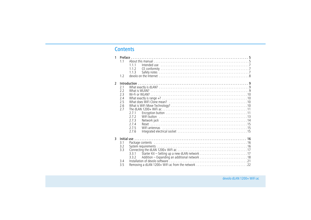# **Contents**

| 1              | 1.1<br>1.2                                   | 1.1.1<br>112<br>1.1.3                              |  |
|----------------|----------------------------------------------|----------------------------------------------------|--|
| $\overline{2}$ | 2.1<br>2.2<br>2.3<br>74<br>2.5<br>2.6<br>2.7 | 2.7.1<br>7.7.7<br>7.7.3<br>2.7.4<br>2.7.5<br>2.7.6 |  |
| 3              | 3.1<br>3.2<br>3.3<br>34<br>3.5               | 3.3.1<br>3.3.2                                     |  |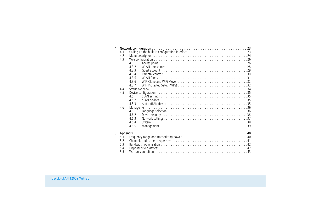| 4 |     |                                                                                                                  |  |
|---|-----|------------------------------------------------------------------------------------------------------------------|--|
|   | 4.1 |                                                                                                                  |  |
|   | 4.2 |                                                                                                                  |  |
|   | 4.3 |                                                                                                                  |  |
|   |     | 4.3.1                                                                                                            |  |
|   |     | 432                                                                                                              |  |
|   |     | 433                                                                                                              |  |
|   |     | 434                                                                                                              |  |
|   |     | 435                                                                                                              |  |
|   |     | 436                                                                                                              |  |
|   |     | 437                                                                                                              |  |
|   | 44  |                                                                                                                  |  |
|   | 4.5 |                                                                                                                  |  |
|   |     | 4.5.1                                                                                                            |  |
|   |     | 4.5.2                                                                                                            |  |
|   |     | 4.5.3                                                                                                            |  |
|   | 4.6 |                                                                                                                  |  |
|   |     | 4.6.1                                                                                                            |  |
|   |     | 4.6.2                                                                                                            |  |
|   |     | 4.6.3                                                                                                            |  |
|   |     | 464                                                                                                              |  |
|   |     | 4.6.5                                                                                                            |  |
|   |     |                                                                                                                  |  |
| 5 |     |                                                                                                                  |  |
|   | 5.1 |                                                                                                                  |  |
|   | 5.2 |                                                                                                                  |  |
|   | 5.3 |                                                                                                                  |  |
|   | 5.4 | Disposal of old devices influences in the series of the series of the series of the series of the series of the  |  |
|   | 5.5 | Warranty conditions interest in the contract of the contract of the contract of the conditions in the contract o |  |
|   |     |                                                                                                                  |  |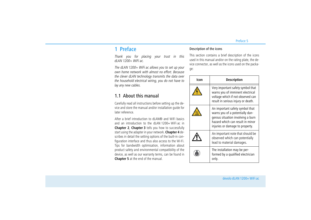# <span id="page-5-0"></span>1 Preface

*Thank you for placing your trust in this dLAN 1200+ WiFi ac.*

*The dLAN 1200+ WiFi ac allows you to set up your own home network with almost no effort. Because the clever dLAN technology transmits the data over the household electrical wiring, you do not have to lay any new cables.* 

# <span id="page-5-1"></span>1.1 About this manual

Carefully read all instructions before setting up the device and store the manual and/or installation guide for later reference.

After a brief introduction to dLAN® and WiFi basics and an introduction to the dLAN  $1200+$  WiFi ac in **Chapter 2**, **Chapter 3** tells you how to successfully start using the adapter in your network. **Chapter 4** describes in detail the setting options of the built-in configuration interface and thus also access to the Wi-Fi. Tips for bandwidth optimisation, information about product safety and environmental compatibility of the device, as well as our warranty terms, can be found in **Chapter 5** at the end of the manual.

# Description of the icons

This section contains a brief description of the icons used in this manual and/or on the rating plate, the device connector, as well as the icons used on the package:

| Icon | <b>Description</b>                                                                                                                                                             |
|------|--------------------------------------------------------------------------------------------------------------------------------------------------------------------------------|
|      | Very important safety symbol that<br>warns you of imminent electrical<br>voltage which if not observed can<br>result in serious injury or death.                               |
|      | An important safety symbol that<br>warns you of a potentially dan-<br>gerous situation involving a burn<br>hazard which can result in minor<br>injuries or damage to property. |
|      | An important note that should be<br>observed which can potentially<br>lead to material damages.                                                                                |
|      | The installation may be per-<br>formed by a qualified electrician<br>only.                                                                                                     |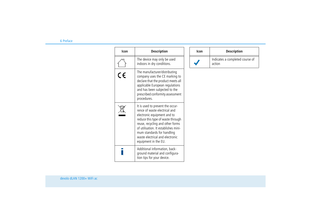| Icon       | <b>Description</b>                                                                                                                                                                                                                                                                                         | <b>Icon</b> | <b>Description</b>                        |
|------------|------------------------------------------------------------------------------------------------------------------------------------------------------------------------------------------------------------------------------------------------------------------------------------------------------------|-------------|-------------------------------------------|
|            | The device may only be used<br>indoors in dry conditions.                                                                                                                                                                                                                                                  |             | Indicates a completed course of<br>action |
| $\epsilon$ | The manufacturer/distributing<br>company uses the CE marking to<br>declare that the product meets all<br>applicable European regulations<br>and has been subjected to the<br>prescribed conformity assessment<br>procedures.                                                                               |             |                                           |
|            | It is used to prevent the occur-<br>rence of waste electrical and<br>electronic equipment and to<br>reduce this type of waste through<br>reuse, recycling and other forms<br>of utilisation. It establishes mini-<br>mum standards for handling<br>waste electrical and electronic<br>equipment in the EU. |             |                                           |
|            | Additional information, back-<br>ground material and configura-<br>tion tips for your device.                                                                                                                                                                                                              |             |                                           |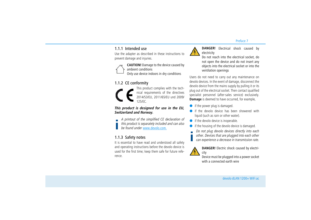# <span id="page-7-0"></span>1.1.1 Intended use

Use the adapter as described in these instructions to prevent damage and injuries.

> **CAUTION!** Damage to the device caused by ambient conditions Only use device indoors in dry conditions

# <span id="page-7-1"></span>1.1.2 CE conformity



This product complies with the technical requirements of the directives 2014/53/EU, 2011/65/EU und 2009/ 125/EC.

# *This product is designed for use in the EU, Switzerland and Norway.*

*A printout of the simplified CE declaration of this product is separately included and can also be found under* [www.devolo.com.](https://www.devolo.com/)

# <span id="page-7-4"></span><span id="page-7-2"></span>1.1.3 Safety notes

It is essential to have read and understood all safety and operating instructions before the devolo device is used for the first time; keep them safe for future reference.



**DANGER!** Electrical shock caused by electricity

Do not reach into the electrical socket, do not open the device and do not insert any objects into the electrical socket or into the ventilation openings

Users do not need to carry out any maintenance on devolo devices. In the event of damage, disconnect the devolo device from the mains supply by pulling it or its plug out of the electrical socket. Then contact qualified specialist personnel (after-sales service) exclusively. **Damage** is deemed to have occurred, for example,

- **•** if the power plug is damaged.
- $\bullet$  if the devolo device has been showered with liquid (such as rain or other water).
- <span id="page-7-3"></span> $\bullet$ if the devolo device is inoperable.
- $\bullet$ if the housing of the devolo device is damaged.
- *Do not plug devolo devices directly into each*
- *other. Devices that are plugged into each other*
- *can experience a decrease in transmission rate.*



**DANGER!** Electric shock caused by electricity

Device must be plugged into a power socket with a connected earth wire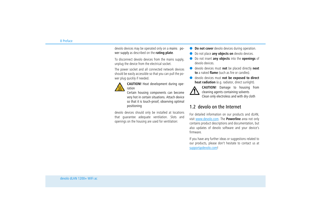devolo devices may be operated only on a mains power supply as described on the **rating plate**.

To disconnect devolo devices from the mains supply, unplug the device from the electrical socket.

The power socket and all connected network devices should be easily accessible so that you can pull the power plug quickly if needed.



**CAUTION!** Heat development during operation

Certain housing components can become very hot in certain situations. Attach device so that it is touch-proof, observing optimal positioning

devolo devices should only be installed at locations that guarantee adequate ventilation. Slots and openings on the housing are used for ventilation:

- $\bullet$ **Do not cover** devolo devices during operation.
- $\bullet$ Do not place **any objects on** devolo devices.
- $\bullet$  Do not insert **any objects** into the **openings** of devolo devices.
- $\bullet$  devolo devices must **not** be placed directly **next to** a naked **flame** (such as fire or candles).
- $\bullet$  devolo devices must **not be exposed to direct heat radiation** (e.g. radiator, direct sunlight).



**CAUTION!** Damage to housing from cleaning agents containing solvents Clean only electroless and with dry cloth

# <span id="page-8-0"></span>1.2 devolo on the Internet

For detailed information on our products and dLAN, visit [www.devolo.com](https://www.devolo.com/). The **Powerline** area not only contains product descriptions and documentation, but also updates of devolo software and your device's firmware.

If you have any further ideas or suggestions related to our products, please don't hesitate to contact us at support@devolo.com!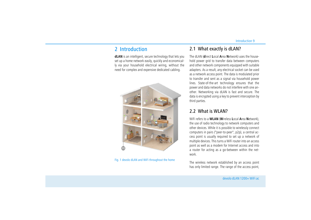# <span id="page-9-0"></span>2 Introduction

**dLAN** is an intelligent, secure technology that lets you set up a home network easily, quickly and economically via your household electrical wiring, without the need for complex and expensive dedicated cabling.

<span id="page-9-3"></span><span id="page-9-1"></span>

hold power grid to transfer data between computers and other network components equipped with suitable adapters. As a result, any electrical socket can be used as a network access point. The data is modulated prior to transfer and sent as a signal via household power lines. State-of-the-art technology ensures that the power and data networks do not interfere with one another. Networking via dLAN is fast and secure. The data is encrypted using a key to prevent interception by third parties.

# <span id="page-9-2"></span>2.2 What is WLAN?

<span id="page-9-4"></span>WiFi refers to a **WLAN** (**W**ireless **L**ocal **A**rea **N**etwork), the use of radio technology to network computers and other devices. While it is possible to wirelessly connect computers in pairs ("peer-to-peer", p2p), a central access point is usually required to set up a network of multiple devices. This turns a WiFi router into an access point as well as a modem for Internet access and into a router for acting as a go-between within the network.

The wireless network established by an access point has only limited range. The range of the access point,

Fig. 1 devolo dLAN and WiFi throughout the home

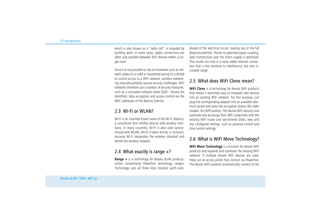which is also known as a "radio cell", is impeded by building walls. In some cases, stable connections are often only possible between WiFi devices within a single room.

Since it is not possible to rely on hardware such as network cables (in a LAN) or household wiring (in a dLAN) to control access to a WiFi network, wireless networking naturally presents special security challenges. WiFi networks therefore use a number of security measures, such as a concealed network name (SSID - Service Set Identifier), data encryption and access control via the MAC addresses of the devices (clients).

# <span id="page-10-0"></span>2.3 Wi-Fi or WLAN?

Wi-Fi is an invented brand name of the Wi-Fi Alliance a consortium that certifies devices with wireless interfaces. In many countries, Wi-Fi is also used synonymously with WLAN, which if taken strictly, is incorrect, because Wi-Fi designates the wireless standard and WLAN the wireless network.

# <span id="page-10-1"></span>2.4 What exactly is range  $+$ ?

**Range +** is a technology for devolo dLAN products. Unlike conventional Powerline technology, range+ Technology uses all three lines (neutral, earth wire,

phase) of the electrical circuit, making use of the full physical potential. Thanks to patented signal coupling, data transmission over the mains supply is optimised. This results not only in a more stable Internet connection that is less sensitive to interference, but also increased range.

# <span id="page-10-2"></span>2.5 What does WiFi Clone mean?

**WiFi Clone** is a technology for devolo WiFi products that makes it extremely easy to integrate new devices into an existing WiFi network. For this purpose, just plug the corresponding adapter into an available electrical socket and press the encryption button (for older models, the WPS button). The devolo WiFi devices now automatically exchange their WiFi credentials with the existing WiFi router and synchronise SSIDs, keys and any configured settings, such as parental control and time control settings.

# <span id="page-10-3"></span>2.6 What is WiFi Move Technology?

**WiFi Move Technology** is a function for devolo WiFi products that expands and optimises the existing WiFi network. If multiple devolo WiFi devices are used, these act as access points that connect via Powerline. The devolo WiFi products automatically connect to the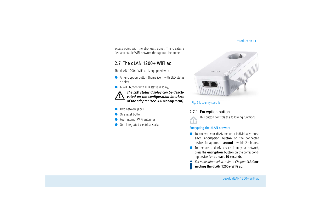access point with the strongest signal. This creates a fast and stable WiFi network throughout the home.

# <span id="page-11-0"></span> $2.7$  The dLAN 1200+ WiFi ac

The dLAN 1200+ WiFi ac is equipped with

- $\bullet$  An encryption button (home icon) with LED status display,
- A WiFi button with LED status display,



<span id="page-11-3"></span>*The LED status display can be deactivated on the configuration interface of the adapter (see* **[4.6 Management](#page-36-3)***).*

- $\bullet$ Two network jacks
- $\bullet$ One reset button
- $\bullet$ Four internal WiFi antennas
- $\bullet$ One integrated electrical socket



<span id="page-11-2"></span>Fig. 2 is country-specific

# <span id="page-11-1"></span>2.7.1 Encryption button

This button controls the following functions:

# Encrypting the dLAN network

- To encrypt your dLAN network individually, press **each encryption button** on the connected devices for approx. **1 second** – within 2 minutes.
- $\bullet$  To remove a dLAN device from your network, press the **encryption button** on the corresponding device **for at least 10 seconds**.
- *For more information, refer to Chapter* **[3.3 Con](#page-17-2)[necting the dLAN 1200+ WiFi ac](#page-17-2)***.*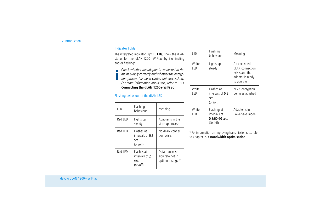# Indicator lights

The integrated indicator lights (**LEDs**) show the dLAN status for the dLAN 1200+ WiFi ac by illuminating and/or flashing:

*Check whether the adapter is connected to the mains supply correctly and whether the encryption process has been carried out successfully. For more information about this, refer to* **[3.3](#page-17-2) [Connecting the dLAN 1200+ WiFi ac](#page-17-2)***.*

# Flashing behaviour of the dLAN LED

| I FD    | Flashing<br>behaviour                              | Meaning                                               |
|---------|----------------------------------------------------|-------------------------------------------------------|
| Red LED | Lights up<br>steady                                | Adapter is in the<br>start-up process                 |
| Red LED | Flashes at<br>intervals of 0.5<br>sec.<br>(on/off) | No dLAN connec-<br>tion exists                        |
| Red LED | Flashes at<br>intervals of 2<br>sec.<br>(on/off)   | Data transmis-<br>sion rate not in<br>optimum range * |

| LED           | Flashing<br>behaviour                                     | Meaning                                                                             |
|---------------|-----------------------------------------------------------|-------------------------------------------------------------------------------------|
| White<br>I FD | Lights up<br>steady                                       | An encrypted<br>dLAN connection<br>exists and the<br>adapter is ready<br>to operate |
| White<br>I FD | Flashes at<br>intervals of $0.5$<br>sec.<br>(on/off)      | dLAN encryption<br>being established                                                |
| White<br>I FD | Flashing at<br>intervals of<br>0.5/50-60 sec.<br>(On/off) | Adapter is in<br>PowerSave mode                                                     |

\* For information on improving transmission rate, refer to Chapter **[5.3 Bandwidth optimisation](#page-42-2)**.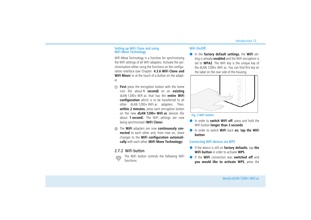### Setting up WiFi Clone and using WiFi Move Technology

WiFi Move Technology is a function for synchronising the WiFi settings of all WiFi adapters. Activate the synchronisation either using the functions on the configuration interface (see Chapter **[4.3.6 WiFi Clone and](#page-32-2) [WiFi Move](#page-32-2)**) or at the touch of a button on the adapter.

- **First** press the encryption button with the home icon (for about **1 second)** on an **existing** dLAN 1200+ WiFi ac that has the **entire WiFi configuration** which is to be transferred to all other dLAN 1200+ WiFi ac adapters. Then, **within 2 minutes**, press each encryption button on the new **dLAN 1200+ WiFi ac** devices (for about **1 second**). The WiFi settings are now being synchronised (**WiFi Clone**).
- The **WiFi** adapters are now **continuously connected** to each other and, from now on, share changes to the **WiFi configuration automatically** with each other (**WiFi Move Technology**).

# <span id="page-13-0"></span>2.7.2 WiFi button

The WiFi button controls the following WiFi functions:

# WiFi On/Off:

<span id="page-13-2"></span><span id="page-13-1"></span> $\bullet$  In the **factory default settings**, the **WiFi** setting is already **enabled** and the WiFi encryption is set to **WPA2**. The WiFi key is the unique key of the dLAN 1200+ WiFi ac. You can find this key on the label on the rear side of the housing.



### Fig. 3 WiFi button

- $\bullet$  In order to **switch WiFi off**, press and hold the WiFi button **longer than 3 seconds**.
- In order to switch **WiFi** back **on**, **tap the WiFi button**.

# Connecting WiFi devices via WPS

- If the device is still on **factory defaults**, tap **the WiFi button** in order to activate **WPS**.
- $\bullet$  If the **WiFi** connection was **switched off** and **you would like to activate WPS**, press the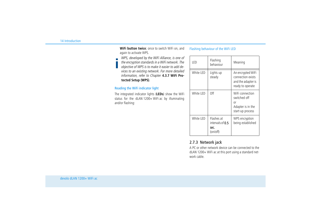**WiFi button twice**; once to switch WiFi on, and again to activate WPS.

*WPS, developed by the WiFi Alliance, is one of the encryption standards in a WiFi network. The objective of WPS is to make it easier to add devices to an existing network. For more detailed information, refer to Chapter* **[4.3.7 WiFi Pro](#page-32-3)[tected Setup \(WPS\)](#page-32-3)***.*

# Reading the WiFi indicator light

The integrated indicator lights (**LEDs**) show the WiFi status for the dLAN 1200+ WiFi ac by illuminating and/or flashing:

Flashing behaviour of the WiFi LED

| I FD      | Flashing<br>behaviour                                | Meaning                                                                          |
|-----------|------------------------------------------------------|----------------------------------------------------------------------------------|
| White LED | Lights up<br>steady                                  | An encrypted WiFi<br>connection exists<br>and the adapter is<br>ready to operate |
| White LED | 0ff                                                  | WiFi connection<br>switched off<br>or<br>Adapter is in the<br>start-up process   |
| White LED | Flashes at<br>intervals of $0.5$<br>sec.<br>(on/off) | WPS encryption<br>being established                                              |

# <span id="page-14-1"></span><span id="page-14-0"></span>2.7.3 Network jack

A PC or other network device can be connected to the dLAN 1200+ WiFi ac at this port using a standard network cable.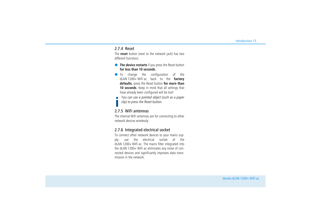# <span id="page-15-3"></span><span id="page-15-0"></span>2.7.4 Reset

The **reset** button (next to the network jack) has two different functions:

- **The device restarts** if you press the Reset button **for less than 10 seconds**.
- $\bullet$  To change the configuration of the dLAN 1200+ WiFi ac back to the **factory defaults**, press the Reset button **for more than 10 seconds**. Keep in mind that all settings that have already been configured will be lost!
- *You can use a pointed object (such as a paper clip) to press the Reset button.*

# <span id="page-15-4"></span><span id="page-15-1"></span>2.7.5 WiFi antennas

The internal WiFi antennas are for connecting to other network devices wirelessly.

# <span id="page-15-2"></span>2.7.6 Integrated electrical socket

To connect other network devices to your mains supply, use the electrical socket of the dLAN 1200+ WiFi ac. The mains filter integrated into the dLAN 1200+ WiFi ac eliminates any noise of connected devices and significantly improves data transmission in the network.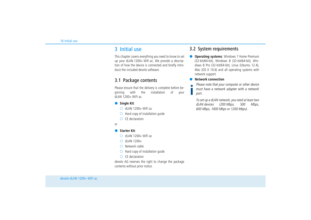# <span id="page-16-0"></span>3 Initial use

This chapter covers everything you need to know to set up your dLAN 1200+ WiFi ac. We provide a description of how the device is connected and briefly introduce the included devolo software.

# <span id="page-16-3"></span><span id="page-16-1"></span>3.1 Package contents

Please ensure that the delivery is complete before beginning with the installation of your  $d$ LAN 1200 $+$  WiFi ac.

# **·** Single Kit:

- $\bigcirc$  dLAN 1200+ WiFi ac
- $\bigcirc$  Hard copy of installation quide
- $\bigcap$  CE declaration

# or

#### $\bullet$ **Starter Kit**:

- $\bigcirc$  dLAN 1200+ WiFi ac
- $O$  dLAN 1200+
- O Network cable
- $\bigcirc$  Hard copy of installation quide
- $\bigcirc$  CE declaration

devolo AG reserves the right to change the package contents without prior notice.

# <span id="page-16-4"></span><span id="page-16-2"></span>3.2 System requirements

 $\bullet$  **Operating systems**: Windows 7 Home Premium (32-bit/64-bit), Windows 8 (32-bit/64-bit), Windows 8 Pro (32-bit/64-bit), Linux (Ubuntu 12.4), Mac (OS X 10.6) and all operating systems with network support

#### $\bullet$ **Network connection**

*Please note that your computer or other device must have a network adapter with a network port.*

*To set up a dLAN network, you need at least two dLAN devices (200 Mbps, 500 Mbps, 600 Mbps, 1000 Mbps or 1200 Mbps).*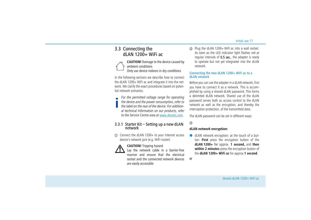# <span id="page-17-2"></span><span id="page-17-0"></span>3.3 Connecting the  $d$ LAN 1200+ WiFi ac

**CAUTION!** Damage to the device caused by ambient conditions Only use device indoors in dry conditions

In the following sections we describe how to connect the dLAN 1200+ WiFi ac and integrate it into the network. We clarify the exact procedures based on potential network scenarios.

*For the permitted voltage range for operating the device and the power consumption, refer to the label on the rear of the device. For additional technical information on our products, refer to the Service Centre area at* <www.devolo.com>*.* 

# <span id="page-17-1"></span>3.3.1 Starter Kit – Setting up a new dLAN network

- Connect the dLAN 1200+ to your Internet access device's network jack (e.g. WiFi router).



# **CAUTION!** Tripping hazard

Lay the network cable in a barrier-free manner and ensure that the electrical socket and the connected network devices are easily accessible

 $Q$  Plug the dLAN 1200+ WiFi ac into a wall socket. As soon as the LED indicator light flashes red at regular intervals of 0.5 sec., the adapter is ready to operate but not yet integrated into the dLAN network.

### Connecting the two dLAN 1200+ WiFi ac to a dLAN network

Before you can use the adapter in a dLAN network, first you have to connect it as a network. This is accomplished by using a shared dLAN password. This forms a delimited dLAN network. Shared use of the dLAN password serves both as access control to the dLAN network as well as the encryption, and thereby the interception protection, of the transmitted data.

The dLAN password can be set in different ways:

# $\circledS$

### **dLAN network encryption:**

 $\bullet$  dLAN network encryption: at the touch of a button: **First** press the encryption button of the **dLAN 1200+** for approx. **1 second,** and **then within 2 minutes** press the encryption button of the **dLAN 1200+ WiFi ac** for approx.**1 second**.

or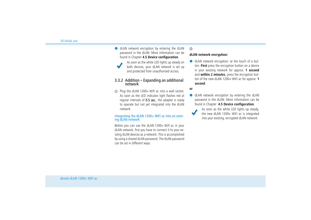- dLAN network encryption by entering the dLAN password in the dLAN: More information can be found in Chapter **[4.5 Device configuration](#page-35-4)**.
	- As soon as the white LED lights up steady on both devices, your dLAN network is set up and protected from unauthorised access.

# <span id="page-18-0"></span>3.3.2 Addition – Expanding an additional network

- Plug the dLAN 1200+ WiFi ac into a wall socket. As soon as the LED indicator light flashes red at regular intervals of **0.5 sec.**, the adapter is ready to operate but not yet integrated into the dLAN network.

### Integrating the dLAN 1200+ WiFi ac into an existing dLAN network

Before you can use the dLAN 1200+ WiFi ac in your dLAN network, first you have to connect it to your existing dLAN devices as a network. This is accomplished by using a shared dLAN password. The dLAN password can be set in different ways:

# $(2)$ **dLAN network encryption:**

 $\bullet$  dLAN network encryption: at the touch of a button: **First** press the encryption button on a device in your existing network for approx. **1 second** and **within 2 minutes**, press the encryption button of the new dLAN 1200+ WiFi ac for approx. **1 second**.

### **or**

- $\bullet$  dLAN network encryption by entering the dLAN password in the dLAN: More information can be found in Chapter **[4.5 Device configuration](#page-35-4)**.
	-

As soon as the white LED lights up steady, the new dLAN 1200+ WiFi ac is integrated into your existing, encrypted dLAN network.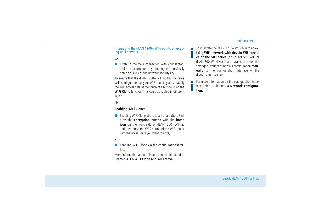### Integrating the dLAN 1200+ WiFi ac into an existing WiFi network

 $\bigcap$ 

**•** Establish the WiFi connection with your laptop, tablet or smartphone by entering the previously noted WiFi key as the network security key.

To ensure that the dLAN 1200+ WiFi ac has the same WiFi configuration as your WiFi router, you can apply the WiFi access data at the touch of a button using the **WiFi Clone** function. This can be enabled in different ways:

### $\circled{2}$

### **Enabling WiFi Clone:**

● Enabling WiFi Clone at the touch of a button: First press the **encryption button** with the **home icon** on the front side of dLAN 1200+ WiFi ac and then press the WPS button of the WiFi router with the access data you want to apply.

### **or**

**•** Enabling WiFi Clone via the configuration interface.

More information about this function can be found in Chapter **[4.3.6 WiFi Clone and WiFi Move](#page-32-2)**.

To integrate the dLAN 1200+ WiFi ac into an existing **WiFi network with devolo WiFi devices of the 500 series** (e.g. dLAN 500 WiFi or dLAN 500 Wireless+), you have to transfer the settings of your existing WiFi configuration **manually** to the configuration interface of the dLAN 1200+ WiFi ac.

For more information on the configuration interface, refer to Chapter **[4 Network configura](#page-23-2)[tion](#page-23-2)**.

×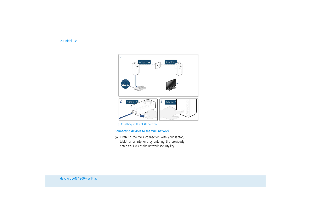

Fig. 4: Setting up the dLAN network

# Connecting devices to the WiFi network

 Establish the WiFi connection with your laptop, tablet or smartphone by entering the previously noted WiFi key as the network security key.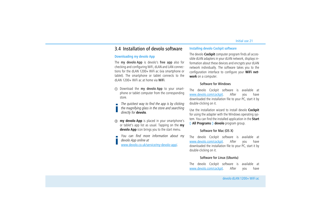# <span id="page-21-1"></span><span id="page-21-0"></span>3.4 Installation of devolo software

# Downloading my devolo App

The my devolo App is devolo's free app also for checking and configuring WiFi, dLAN and LAN connections for the dLAN 1200+ WiFi ac (via smartphone or tablet). The smartphone or tablet connects to the  $d$ LAN 1200+ WiFi ac at home via WiFi

- **1** Download the my devolo App to your smartphone or tablet computer from the corresponding store.
- *The quickest way to find the app is by clicking the magnifying glass in the store and searching directly for* **devolo***.*
- **my devolo App** is placed in your smartphone's or tablet's app list as usual. Tapping on the **my devolo App** icon brings you to the start menu.
- *You can find more information about my devolo App online at*

<www.devolo.co.uk/service/my-devolo-app/>*.* 

# Installing devolo Cockpit software

The devolo **Cockpit** computer program finds all accessible dLAN adapters in your dLAN network, displays information about these devices and encrypts your dLAN network individually. The software takes you to the configuration interface to configure your **WiFi network** on a computer.

### <span id="page-21-4"></span>Software for Windows

The devolo Cockpit software is available at [www.devolo.com/cockpit](http://www.devolo.com/cockpit). After you have downloaded the installation file to your PC, start it by double-clicking on it.

Use the installation wizard to install devolo **Cockpit** for using the adapter with the Windows operating system. You can find the installed application in the **Start** - **All Programs** - **devolo** program group.

# <span id="page-21-3"></span>Software for Mac (OS X)

The devolo Cockpit software is available at [www.devolo.com/cockpit](http://www.devolo.com/cockpit). After you have downloaded the installation file to your PC, start it by double-clicking on it.

# <span id="page-21-2"></span>Software for Linux (Ubuntu)

The devolo Cockpit software is available at [www.devolo.com/cockpit](http://www.devolo.com/cockpit). After you have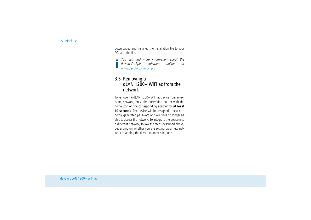downloaded and installed the installation file to your PC, start the file.

*You can find more information about the*

*devolo Cockpit software online at* <www.devolo.com/cockpit>*.*

# <span id="page-22-0"></span>3.5 Removing a  $d$ LAN 1200+ WiFi ac from the network

To remove the dLAN 1200+ WiFi ac device from an existing network, press the encryption button with the home icon on the corresponding adapter for **at least** 10 seconds. The device will be assigned a new randomly generated password and will thus no longer be able to access the network. To integrate the device into a different network, follow the steps described above, depending on whether you are setting up a new network or adding the device to an existing one.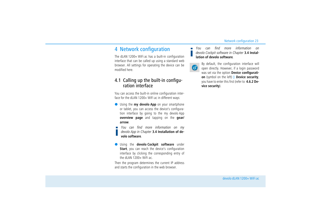# <span id="page-23-2"></span><span id="page-23-0"></span>4 Network configuration

The dLAN 1200+ WiFi ac has a built-in configuration interface that can be called up using a standard web browser. All settings for operating the device can be modified here.

# <span id="page-23-1"></span>4.1 Calling up the built-in configuration interface

You can access the built-in online configuration interface for the dLAN 1200+ WiFi ac in different ways:

- **· Using the my devolo App** on your smartphone or tablet, you can access the device's configuration interface by going to the my devolo App **overview page** and tapping on the **gear/ arrow**.
- *You can find more information on my devolo App in Chapter* **[3.4 Installation of de](#page-21-1)[volo software](#page-21-1)***.*
- $\bullet$  Using the **devolo Cockpit software** under **Start**, you can reach the device's configuration interface by clicking the corresponding entry of the dLAN 1200+ WiFi ac.

Then the program determines the current IP address and starts the configuration in the web browser.

*You can find more information on devolo Cockpit software in Chapter* **[3.4 Instal](#page-21-1)[lation of devolo software](#page-21-1)***.* 



By default, the configuration interface will open directly. However, if a login password was set via the option **Device configuration** (symbol on the left) - **Device security**, you have to enter this first (refer to **[4.6.2 De](#page-36-2)[vice security](#page-36-2)**).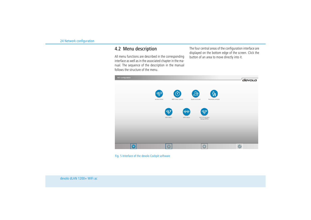# <span id="page-24-0"></span>4.2 Menu description

All menu functions are described in the corresponding interface as well as in the associated chapter in the manual. The sequence of the description in the manual follows the structure of the menu.

The four central areas of the configuration interface are displayed on the bottom edge of the screen. Click the button of an area to move directly into it.



Fig. 5 Interface of the devolo Cockpit software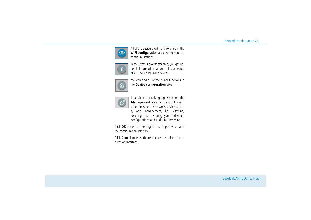

All of the device's WiFi functions are in the **WiFi configuration** area, where you can configure settings.



In the **Status overview** area, you get general information about all connected dLAN, WiFi and LAN devices.



You can find all of the dLAN functions in the **Device configuration** area.



In addition to the language selection, the **Management** area includes configuration options for the network, device security and management, i.e. resetting, securing and restoring your individual configurations and updating firmware.

Click **OK** to save the settings of the respective area of the configuration interface.

Click **Cancel** to leave the respective area of the configuration interface.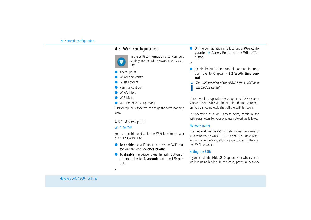# <span id="page-26-0"></span>4.3 WiFi configuration



In the WiFi configuration area, configure settings for the WiFi network and its security:

- $\bullet$ Access point
- $\bullet$ WLAN time control
- $\bullet$ Guest account
- $\bullet$ Parental controls
- $\bullet$ WLAN filters
- $\bullet$ WiFi Move
- $\bullet$  WiFi Protected Setup (WPS)

Click or tap the respective icon to go the corresponding area.

# <span id="page-26-1"></span>4.3.1 Access point

# Wi-Fi On/Off

You can enable or disable the WiFi function of your dLAN 1200+ WiFi ac:

- To **enable** the WiFi function, press the WiFi button on the front side **once briefly**.
- **To disable** the device, press the WiFi button on the front side for **3 seconds** until the LED goes out.

**O** On the configuration interface under WiFi configuration  $\lozenge$  Access Point, use the WiFi off/on button.

or

- $\bullet$  Enable the WLAN time control. For more information, refer to Chapter **[4.3.2 WLAN time con](#page-28-0)[trol](#page-28-0)**.
- *The WiFi function of the dLAN 1200+ WiFi ac is enabled by default.*

If you want to operate the adapter exclusively as a simple dLAN device via the built-in Ethernet connection, you can completely shut off the WiFi function.

For operation as a WiFi access point, configure the WiFi parameters for your wireless network as follows:

# Network name

The network name (SSID) determines the name of your wireless network. You can see this name when logging onto the WiFi, allowing you to identify the correct WiFi network.

# Hiding the SSID

If you enable the Hide SSID option, your wireless network remains hidden. In this case, potential network

or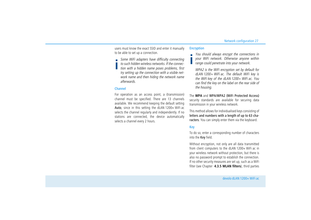users must know the exact SSID and enter it manually to be able to set up a connection.

*Some WiFi adapters have difficulty connecting to such hidden wireless networks. If the connection with a hidden name poses problems, first try setting up the connection with a visible network name and then hiding the network name afterwards.*

### Channel

For operation as an access point, a (transmission) channel must be specified. There are 13 channels available. We recommend keeping the default setting Auto, since in this setting the dLAN 1200+ WiFi ac selects the channel regularly and independently. If no stations are connected, the device automatically selects a channel every 2 hours.

### Encryption

*You should always encrypt the connections in your WiFi network. Otherwise anyone within range could penetrate into your network.* 

<span id="page-27-1"></span><span id="page-27-0"></span>*WPA2 is the WiFi encryption set by default for dLAN 1200+ WiFi ac. The default WiFi key is the WiFi key of the dLAN 1200+ WiFi ac. You can find the key on the label on the rear side of the housing.*

<span id="page-27-2"></span>The **WPA** and WPA/WPA2 (WiFi Protected Access) security standards are available for securing data transmission in your wireless network.

This method allows for individualised keys consisting of letters and numbers with a length of up to 63 characters. You can simply enter them via the keyboard.

### Key

To do so, enter a corresponding number of characters into the Key field.

Without encryption, not only are all data transmitted from client computers to the dLAN 1200+ WiFi ac in your wireless network without protection, but there is also no password prompt to establish the connection. If no other security measures are set up, such as a WiFi filter (see Chapter **[4.3.5 WLAN filters](#page-31-0)**), third parties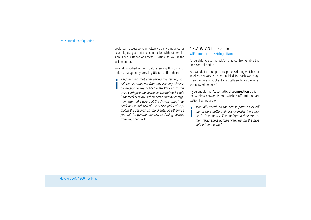could gain access to your network at any time and, for example, use your Internet connection without permission. Each instance of access is visible to you in the WiFi monitor.

Save all modified settings before leaving this configuration area again by pressing **OK** to confirm them.

*Keep in mind that after saving this setting, you will be disconnected from any existing wireless connection to the dLAN 1200+ WiFi ac. In this case, configure the device via the network cable (Ethernet) or dLAN. When activating the encryption, also make sure that the WiFi settings (network name and key) of the access point always match the settings on the clients, as otherwise you will be (unintentionally) excluding devices from your network.*

# <span id="page-28-0"></span>4.3.2 WLAN time control

### <span id="page-28-1"></span>WiFi time control setting off/on

To be able to use the WLAN time control, enable the time control option.

You can define multiple time periods during which your wireless network is to be enabled for each weekday. Then the time control automatically switches the wireless network on or off.

If you enable the **Automatic disconnection** option, the wireless network is not switched off until the last station has logged off.

*Manually switching the access point on or off (i.e. using a button) always overrides the automatic time control. The configured time control then takes effect automatically during the next defined time period.*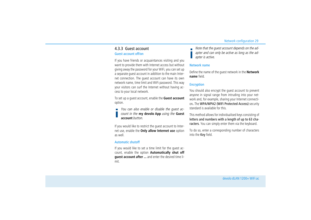# <span id="page-29-0"></span>4.3.3 Guest account

### Guest account off/on

If you have friends or acquaintances visiting and you want to provide them with Internet access but without giving away the password for your WiFi, you can set up a separate guest account in addition to the main Internet connection. The guest account can have its own network name, time limit and WiFi password. This way your visitors can surf the Internet without having access to your local network.

To set up a guest account, enable the **Guest account** option.

*You can also enable or disable the guest account in the* **my devolo App** *using the* **Guest account** *button.* 

If you would like to restrict the guest account to Internet use, enable the **Only allow Internet use** option as well.

# Automatic shutoff

If you would like to set a time limit for the guest account, enable the option **Automatically shut off guest account after ...** and enter the desired time limit.

*Note that the guest account depends on the adapter and can only be active as long as the adapter is active.* 

### Network name

Define the name of the guest network in the **Network name** field.

# Encryption

<span id="page-29-2"></span><span id="page-29-1"></span>You should also encrypt the guest account to prevent anyone in signal range from intruding into your network and, for example, sharing your Internet connection*.* The WPA/WPA2 (WiFi Protected Access) security standard is available for this.

This method allows for individualised keys consisting of letters and numbers with a length of up to 63 characters. You can simply enter them via the keyboard.

To do so, enter a corresponding number of characters into the Key field.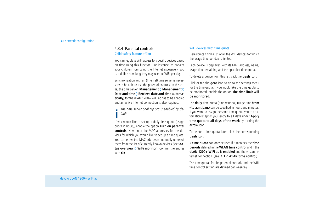# <span id="page-30-0"></span>4.3.4 Parental controls Child-safety feature off/on

You can regulate WiFi access for specific devices based on time using this function. For instance, to prevent your children from using the Internet excessively, you can define how long they may use the WiFi per day.

Synchronisation with an (Internet) time server is necessary to be able to use the parental controls. In this case, the time server (**Management**  $\lozenge$  **Management**  $\lozenge$ Date and time  $\Diamond$  Retrieve date and time automa**tically)** for the dLAN 1200+ WiFi ac has to be enabled and an active Internet connection is also required.

*The time server pool.ntp.org is enabled by default.* 

If you would like to set up a daily time quota (usage quota in hours), enable the option **Turn on parental controls**. Now enter the MAC addresses for the devices for which you would like to set up a time quota. You can enter the MAC addresses manually or select them from the list of currently known devices (see **Sta**tus overview  $\lozenge$  WiFi monitor). Confirm the entries with **OK**.

# WiFi devices with time quota

Here you can find a list of all the WiFi devices for which the usage time per day is limited.

Each device is displayed with its MAC address, name, usage time remaining and the specified time quota.

To delete a device from this list, click the **trash** icon.

Click or tap the **gear** icon to go to the settings menu for the time quota. If you would like the time quota to be monitored, enable the option **The time limit will be monitored**.

The **daily** time quota (time window, usage time **from - to a.m./p.m.**) can be specified in hours and minutes. If you want to assign the same time quota, you can automatically apply your entry to all days under **Apply time quota to all days of the week** by clicking the **arrow** icon.

To delete a time quota later, click the corresponding **trash** icon.

A **time quota** can only be used if it matches the **time periods** defined in the **WLAN time control** and if the **dLAN 1200+ WiFi ac is enabled** and there is an Internet connection. (see **[4.3.2 WLAN time control](#page-28-0)**).

The time quotas for the parental controls and the WiFi time control setting are defined per weekday.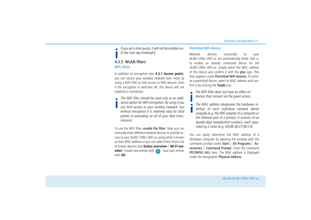*If you set a time quota, it will not be enabled until the next day (midnight).* 

# <span id="page-31-0"></span>4.3.5 WLAN filters

# WPS off/on

<span id="page-31-2"></span>In addition to encryption (see **[4.3.1 Access point](#page-26-1)**), you can secure your wireless network even more by using a WiFi filter to limit access to WiFi devices. Even if the encryption is switched off, the device will not establish a connection.

*The WiFi filter should be used only as an additional option for WiFi encryption. By using it you can limit access to your wireless network, but without encryption it is relatively easy for third parties to eavesdrop on all of your data transmissions.*

To use the WiFi filter, enable the filter. Now you can manually enter different network devices to provide access to your dLAN 1200+ WiFi ac using what is known as their MAC address or you can select them from a list of known devices (see **Status overview**  $\lozenge$  **Wi-Fi monitor**). Create new entries with **. Save your entries** with **OK**.

## Permitted WiFi devices

Network devices connected to your dLAN 1200+ WiFi ac are automatically listed; that is, to enable an already connected device for the dLAN 1200+ WiFi ac, simply select the MAC address of this device and confirm it with the plus sign. This then appears under Permitted WiFi devices. To remove a permitted device, select its MAC address and confirm it by clicking the **Trash** icon.

- *The WiFi filter does not have an effect on devices that connect via the guest access*.
- <span id="page-31-1"></span>*The MAC address designates the hardware interface of each individual network device uniquely (e.g. the WiFi adapter of a computer or the Ethernet port of a printer). It consists of six double-digit hexadecimal numbers, each separated by a colon (e.g. 00:0B:3B:37:9D:C4).*

You can easily determine the MAC address of a Windows computer by opening the window with the command prompt under Start  $\uparrow$  All Programs  $\uparrow$  Accessories  $\Diamond$  Command Prompt. Enter the command IPCONFIG /ALL here. The MAC address is displayed under the designation Physical address.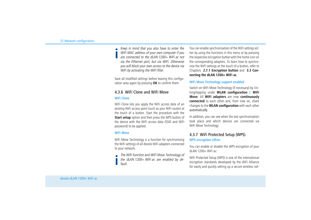*Keep in mind that you also have to enter the WiFi MAC address of your own computer if you are connected to the dLAN 1200+ WiFi ac not via the Ethernet port, but via WiFi. Otherwise you will block your own access to the device via WiFi by activating the WiFi filter.*

Save all modified settings before leaving this configuration area again by pressing **OK** to confirm them.

# <span id="page-32-2"></span><span id="page-32-0"></span>4.3.6 WiFi Clone and WiFi Move

### <span id="page-32-4"></span>WiFi Clone

WiFi Clone lets you apply the WiFi access data of an existing WiFi access point (such as your WiFi router) at the touch of a button. Start the procedure with the **Start setup** option and then press the WPS button of the device with the WiFi access data (SSID and WiFi password) to be applied.

# WiFi Move

<span id="page-32-5"></span>WiFi Move Technology is a function for synchronising the WiFi settings of all devolo WiFi adapters connected to your network.

*The WiFi function and WiFi Move Technology of the dLAN 1200+ WiFi ac are enabled by default.* 

You can enable synchronisation of the WiFi settings either by using the functions in this menu or by pressing the respective encryption button with the home icon on the corresponding adapters. To learn how to synchronise the WiFi settings at the touch of a button, refer to Chapters **[2.7.1 Encryption button](#page-11-2)** and **[3.3 Con](#page-17-2)[necting the dLAN 1200+ WiFi ac](#page-17-2)**.

### WiFi Move Technology support enabled

Switch on WiFi Move Technology (if necessary) by clicking/tapping under **WLAN configuration**  $\Diamond$  **WiFi Move**. All **WiFi adapters** are now **continuously connected** to each other and, from now on, share changes to the **WLAN configuration** with each other automatically.

In addition, you can see when the last synchronisation took place and which devices are connected via WiFi Move Technology.

# <span id="page-32-3"></span><span id="page-32-1"></span>4.3.7 WiFi Protected Setup (WPS)

### WPS encryption off/on

You can enable or disable the WPS encryption of your dLAN 1200+ WiFi ac:

WiFi Protected Setup (WPS) is one of the international encryption standards developed by the WiFi Alliance for easily and quickly setting up a secure wireless net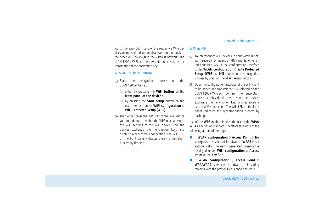work. The encryption keys of the respective WiFi devices are transmitted automatically and continuously to the other WiFi device(s) in the wireless network. The dLAN 1200+ WiFi ac offers two different variants for transmitting these encryption keys:

# WPS via PBC (Push Button):

- ന Start the encryption process on the  $d$ LAN 1200 $+$  WiFi ac
	- either by pressing the **WiFi button** on the **front panel of the device** or
	- by pressing the **Start setup** button on the user interface under WiFi configuration  $\Diamond$ **WiFi Protected Setup (WPS)**.
- Then either press the WPS key of the WiFi device you are adding or enable the WPS mechanism in the WiFi settings of the WiFi device. Now the devices exchange their encryption keys and establish a secure WiFi connection. The WiFi LED on the front panel indicates the synchronisation process by flashing.

### WPS via PIN:

- $_{\tiny\textcircled{\scriptsize{1}}}$  To interconnect WiFi devices in your wireless network securely by means of PIN variants, enter an individualised key in the configuration interface under WLAN configuration  $\Diamond$  WiFi Protected **Setup (WPS)**  $\uparrow$  **PIN** and start the encryption process by pressing the **Start setup** button.
- Open the configuration interface of the WiFi client to be added and transmit the PIN selected on the dLAN 1200+ WiFi ac. Confirm the encryption process as described there. Now the devices exchange their encryption keys and establish a secure WiFi connection. The WiFi LED on the front panel indicates the synchronisation process by flashing.

Use of the **WPS** method implies the use of the **WPA/ WPA2** encryption standard. Therefore take note of the following automatic settings:

- $\bullet$ If WLAN configuration  $\Diamond$  Access Point  $\Diamond$  No **encryption** is selected in advance, **WPA2** is set automatically. The newly generated password is displayed under **WiFi configuration** C **Access Point** in the **Key** field.
- **If WLAN configuration**  $\uparrow$  Access Point  $\uparrow$ **WPA/WPA2** is selected in advance, this setting remains with the previously assigned password.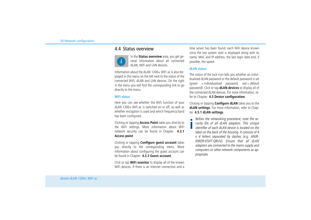# <span id="page-34-0"></span>4.4 Status overview



In the **Status overview** area, you get general information about all connected dLAN, WiFi and LAN devices.

Information about the dLAN 1200+ WiFi ac is also displayed in this menu on the left next to the status of the connected WiFi, dLAN and LAN devices. On the right in the menu you will find the corresponding link to go directly to the menu.

### WiFi status

Here you can see whether the WiFi function of your dLAN 1200+ WiFi ac is switched on or off, as well as whether encryption is used and which frequency band has been configured.

Clicking or tapping **Access Point** takes you directly to the WiFi settings. More information about WiFi network security can be found in Chapter **[4.3.1](#page-26-1) [Access point](#page-26-1)**.

Clicking or tapping **Configure guest account** takes you directly to the corresponding menu. More information about configuring the guest account can be found in Chapter **[4.3.3 Guest account](#page-29-0)**.

Click or tap **WiFi monitor** to display all of the known WiFi devices. If there is an Internet connection and a time server has been found, each WiFi device known since the last system start is displayed along with its name, MAC and IP address, the last login date and, if possible, the speed.

### dLAN status

The colour of the lock icon tells you whether an individualised dLAN password or the default password is set  $(\text{green} = \text{individualised} \text{password}, \text{red} = \text{default})$ password). Click or tap **dLAN devices** to display all of the connected dLAN devices. For more information, refer to Chapter **[4.5 Device configuration](#page-35-0)**.

Clicking or tapping **Configure dLAN** takes you to the **dLAN settings**. For more information, refer to Chapter **[4.5.1 dLAN settings](#page-35-1)**.

<span id="page-34-1"></span>*Before the networking procedure, note the security IDs of all dLAN adapters. This unique identifier of each dLAN device is located on the label on the back of the housing. It consists of 4 x 4 letters separated by dashes (e.g. ANJR-KMOR-KSHT-QRUV). Ensure that all dLAN adapters are connected to the mains supply and computers or other network components as appropriate.*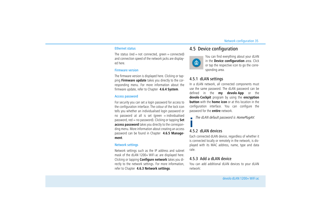### Ethernet status

The status (red  $=$  not connected, green  $=$  connected) and connection speed of the network jacks are displayed here.

### Firmware version

The firmware version is displayed here. Clicking or tapping **Firmware update** takes you directly to the corresponding menu. For more information about the firmware update, refer to Chapter **[4.6.4 System](#page-38-0)**.

### Access password

For security you can set a login password for access to the configuration interface. The colour of the lock icon tells you whether an individualised login password or no password at all is set (green  $=$  individualised password, red = no password). Clicking or tapping **Set access password** takes you directly to the corresponding menu. More information about creating an access password can be found in Chapter **[4.6.5 Manage](#page-39-0)[ment](#page-39-0)**.

# Network settings

Network settings such as the IP address and subnet mask of the dLAN 1200+ WiFi ac are displayed here. Clicking or tapping **Configure network** takes you directly to the network settings. For more information, refer to Chapter **[4.6.3 Network settings](#page-37-0)**.

# <span id="page-35-4"></span><span id="page-35-0"></span>4.5 Device configuration



<span id="page-35-5"></span>You can find everything about your dLAN in the **Device configuration** area. Click or tap the respective icon to go the corresponding area.

# <span id="page-35-1"></span>4.5.1 dLAN settings

In a dLAN network, all connected components must use the same password. The dLAN password can be defined in the **my devolo App** or the **devolo Cockpit** program by using the **encryption button** with the **home icon** or at this location in the configuration interface. You can configure the password for the **entire** network.

*The dLAN default password is* HomePlugAV.

# <span id="page-35-2"></span>4.5.2 dLAN devices

Each connected dLAN device, regardless of whether it is connected locally or remotely in the network, is displayed with its MAC address, name, type and data rate.

# <span id="page-35-3"></span>4.5.3 Add a dLAN device

You can add additional dLAN devices to your dLAN network: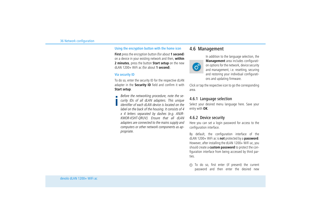# Using the encryption button with the home icon

**First** press the encryption button (for about **1 second**) on a device in your existing network and then, **within 2 minutes**, press the button **Start setup** on the new dLAN 1200+ WiFi ac (for about **1 second**).

# Via security ID

To do so, enter the security ID for the respective dLAN adapter in the **Security ID** field and confirm it with **Start setup**.

*Before the networking procedure, note the security IDs of all dLAN adapters. This unique identifier of each dLAN device is located on the label on the back of the housing. It consists of 4 x 4 letters separated by dashes (e.g. ANJR-KMOR-KSHT-QRUV). Ensure that all dLAN adapters are connected to the mains supply and computers or other network components as appropriate.*

# <span id="page-36-3"></span><span id="page-36-0"></span>4.6 Management



In addition to the language selection, the **Management** area includes configuration options for the network, device security and management, i.e. resetting, securing and restoring your individual configurations and updating firmware.

Click or tap the respective icon to go the corresponding area.

# <span id="page-36-4"></span><span id="page-36-1"></span>4.6.1 Language selection

Select your desired menu language here. Save your entry with **OK**.

# <span id="page-36-2"></span>4.6.2 Device security

Here you can set a login password for access to the configuration interface.

By default, the configuration interface of the dLAN 1200+ WiFi ac is **not** protected by a **password**. However, after installing the dLAN 1200+ WiFi ac, you should create a **custom password** to protect the configuration interface from being accessed by third parties.

- To do so, first enter (if present) the current password and then enter the desired new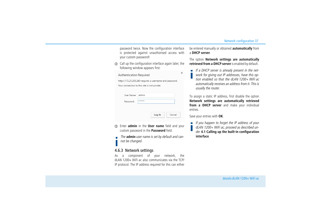password twice. Now the configuration interface is protected against unauthorised access with your custom password!

 Call up the configuration interface again later; the following window appears first:

| Authentication Required                                 |       |  |
|---------------------------------------------------------|-------|--|
| http://172.25.200.240 requires a username and password. |       |  |
| Your connection to this site is not private.            |       |  |
|                                                         |       |  |
| User Name:                                              | admin |  |
| Password:                                               |       |  |

Log In Cancel

- Enter **admin** in the **User name** field and your custom password in the **Password** field.
- *The* **admin** *user name is set by default and cannot be changed.*

# <span id="page-37-0"></span>4.6.3 Network settings

<span id="page-37-2"></span>As a component of your network, the dLAN 1200+ WiFi ac also communicates via the TCP/ IP protocol. The IP address required for this can either

be entered manually or obtained **automatically** from a **DHCP server**.

The option **Network settings are automatically retrieved from a DHCP server** is enabled by default.

<span id="page-37-1"></span>*If a DHCP server is already present in the network for giving out IP addresses, have this option enabled so that the dLAN 1200+ WiFi ac automatically receives an address from it. This is usually the router.*

To assign a static IP address, first disable the option **Network settings are automatically retrieved from a DHCP server** and make your individual entries.

Save your entries with **OK**.

- *If you happen to forget the IP address of your dLAN 1200+ WiFi ac, proceed as described un-*
- *der* **[4.1 Calling up the built-in configuration](#page-23-1) [interface](#page-23-1)***.*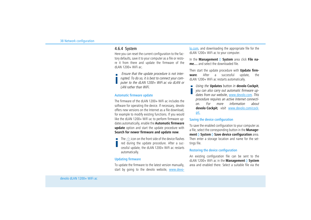# <span id="page-38-0"></span>4.6.4 System

Here you can reset the current configuration to the factory defaults, save it to your computer as a file or restore it from there and update the firmware of the dLAN 1200+ WiFi ac.

 *Ensure that the update procedure is not interrupted. To do so, it is best to connect your computer to the dLAN 1200+ WiFi ac via dLAN or LAN rather than WiFi.*

### Automatic firmware update

The firmware of the dLAN 1200 $+$  WiFi ac includes the software for operating the device. If necessary, devolo offers new versions on the Internet as a file download, for example to modify existing functions. If you would like the dLAN 1200+ WiFi ac to perform firmware updates automatically, enable the **Automatic firmware update** option and start the update procedure with **Search for newer firmware and update now**.

The incon on the front side of the device flashes red during the update procedure. After a successful update, the dLAN 1200+ WiFi ac restarts automatically.

# Updating firmware

To update the firmware to the latest version manually, start by going to the devolo website, [www.devo-](www.devolo.com) [lo.com](www.devolo.com), and downloading the appropriate file for the dLAN 1200+ WiFi ac to your computer.

In the Management  $\triangleright$  System area click File na**me…** and select the downloaded file.

Then start the update procedure with **Update firmware**. After a successful update, the dLAN 1200+ WiFi ac restarts automatically.

*Using the* **Updates** button *in* **devolo Cockpit**, *you can also carry out automatic firmware updates from our website*, <www.devolo.com>*. This procedure requires an active Internet connection. For more information about* **devolo Cockpit***, visit* [www.devolo.com/cock](www.devolo.com/cockpit)[pit.](www.devolo.com/cockpit)

### Saving the device configuration

To save the enabled configuration to your computer as a file, select the corresponding button in the **Management**  $\Diamond$  **System**  $\Diamond$  **Save device configuration** area. Then enter a storage location and name for the settings file.

### Restoring the device configuration

An existing configuration file can be sent to the dLAN 1200+ WiFi ac in the Management  $\Diamond$  System area and enabled there. Select a suitable file via the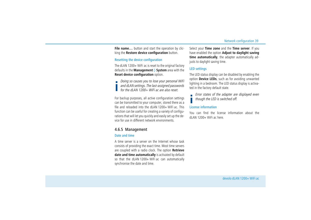**File name...** button and start the operation by clicking the **Restore device configuration** button.

### Resetting the device configuration

The dLAN 1200+ WiFi ac is reset to the original factory defaults in the **Management**  $\phi$  **System** area with the **Reset device configuration** option.

*Doing so causes you to lose your personal WiFi and dLAN settings. The last-assigned passwords for the dLAN 1200+ WiFi ac are also reset.*

For backup purposes, all active configuration settings can be transmitted to your computer, stored there as a file and reloaded into the dLAN 1200+ WiFi ac. This function can be useful for creating a variety of configurations that will let you quickly and easily set up the device for use in different network environments.

# <span id="page-39-0"></span>4.6.5 Management

### <span id="page-39-2"></span>Date and time

A time server is a server on the Internet whose task consists of providing the exact time. Most time servers are coupled with a radio clock. The option **Retrieve** date and time automatically is activated by default so that the dLAN 1200+ WiFi ac can automatically synchronise the date and time.

Select your **Time zone** and the **Time server**. If you have enabled the option **Adjust to daylight saving time automatically**, the adapter automatically adjusts to daylight saving time.

# <span id="page-39-1"></span>LED settings

The LED status display can be disabled by enabling the option **Device LEDs**, such as for avoiding unwanted lighting in a bedroom. The LED status display is activated in the factory default state.

*Error states of the adapter are displayed even though the LED is switched off.*

### License information

You can find the license information about the  $d$ LAN 1200+ WiFi ac here.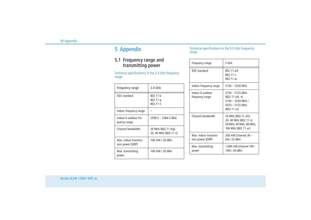# <span id="page-40-0"></span>5 Appendix

# <span id="page-40-1"></span>5.1 Frequency range and transmitting power

Technical specifications in the 2.4 GHz frequency range

| Frequency range                            | $2.4$ GHz                                    |
|--------------------------------------------|----------------------------------------------|
| <b>IEEE</b> standard                       | 802.11 h<br>$802.11$ q<br>802.11 n           |
| Indoor frequency range                     |                                              |
| Indoor & outdoor fre-<br>quency range      | $2399.5 - 2484.5$ MHz                        |
| Channel bandwidth                          | 20 MHz (802.11 b/g)<br>20, 40 MHz (802.11 n) |
| Max. indoor transmis-<br>sion power (EIRP) | 100 mW / 20 dBm                              |
| Max. transmitting<br>power                 | 100 mW / 20 dBm                              |

Technical specifications in the 5.0 GHz frequency range

| Frequency range                            | 5 GHz                                                                                                     |
|--------------------------------------------|-----------------------------------------------------------------------------------------------------------|
| <b>IEEE</b> standard                       | 802.11 a/h<br>802.11 n<br>802.11 ac                                                                       |
| Indoor frequency range                     | $5150 - 5350$ MHz                                                                                         |
| Indoor & outdoor<br>frequency range        | $5150 - 5725$ MHz<br>(802.11 a/h, n)<br>$5150 - 5350$ MHz /<br>$5470 - 5725$ MHz<br>$(802.11 \text{ ac})$ |
| Channel bandwidth                          | 20 MHz (802.11 a/h)<br>20, 40 MHz (802.11 n)<br>20 MHz, 40 MHz, 80 MHz,<br>160 MHz (802.11 ac)            |
| Max. indoor transmis-<br>sion power (EIRP) | 200 mW (channel $36 -$<br>64) / 23 dBm                                                                    |
| Max. transmitting<br>power                 | 1,000 mW (channel $100 -$<br>140) / 30 dBm                                                                |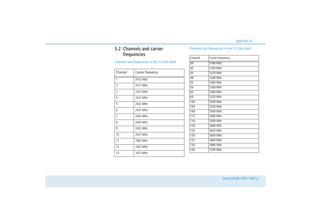# <span id="page-41-0"></span>5.2 Channels and carrier frequencies

Channels and frequencies in the 2.4 GHz band

| Channel        | Carrier frequency |
|----------------|-------------------|
| 1              | 2412 MHz          |
| $\overline{2}$ | 2417 MHz          |
| 3              | 2422 MHz          |
| 4              | 2427 MHz          |
| 5              | 2432 MHz          |
| 6              | 2437 MHz          |
| $\overline{7}$ | 2442 MHz          |
| 8              | 2447 MHz          |
| 9              | 2452 MHz          |
| 10             | 2457 MHz          |
| 11             | 2462 MHz          |
| 12             | 2467 MHz          |
| 13             | 2472 MHz          |

# Channels and frequencies in the 5.0 GHz band

| Channel | Carrier frequency |
|---------|-------------------|
| 36      | 5180 MHz          |
| 40      | 5200 MHz          |
| 44      | 5220 MHz          |
| 48      | 5240 MHz          |
| 52      | 5260 MHz          |
| 56      | 5280 MHz          |
| 60      | 5300 MHz          |
| 64      | 5320 MHz          |
| 100     | 5500 MHz          |
| 104     | 5520 MHz          |
| 108     | 5540 MHz          |
| 112     | 5560 MHz          |
| 116     | 5580 MHz          |
| 120     | 5600 MHz          |
| 124     | 5620 MHz          |
| 128     | 5600 MHz          |
| 132     | 5660 MHz          |
| 136     | 5680 MHz          |
| 140     | 5700 MHz          |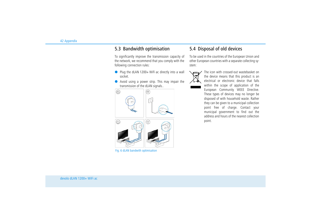# <span id="page-42-2"></span><span id="page-42-0"></span>5.3 Bandwidth optimisation

To significantly improve the transmission capacity of the network, we recommend that you comply with the following connection rules:

- Plug the dLAN 1200+ WiFi ac directly into a wall socket.
- $\bullet$  Avoid using a power strip. This may impair the transmission of the dLAN signals..



Fig. 6 dLAN bandwith optimisation

# <span id="page-42-3"></span><span id="page-42-1"></span>5.4 Disposal of old devices

To be used in the countries of the European Union and other European countries with a separate collecting system:



The icon with crossed-out wastebasket on the device means that this product is an electrical or electronic device that falls within the scope of application of the European Community WEEE Directive. These types of devices may no longer be disposed of with household waste. Rather they can be given to a municipal collection point free of charge. Contact your municipal government to find out the address and hours of the nearest collection point.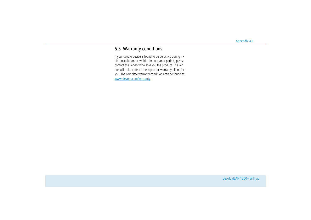# <span id="page-43-1"></span><span id="page-43-0"></span>5.5 Warranty conditions

If your devolo device is found to be defective during initial installation or within the warranty period, please contact the vendor who sold you the product. The vendor will take care of the repair or warranty claim for you. The complete warranty conditions can be found at <www.devolo.com/warranty>.